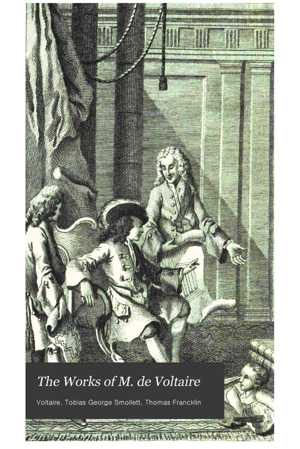## The Works of M. de Voltaire

t jerem

Voltaire, Tobias George Smollett, Thomas Francklin

*Maria City of Contract Distances (200)*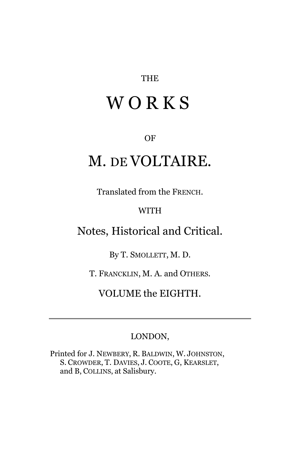#### THE

# **WORKS**

#### OF

### M. DE VOLTAIRE.

Translated from the FRENCH.

#### WITH

### Notes, Historical and Critical.

By T. SMOLLETT, M. D.

T. FRANCKLIN, M. A. and OTHERS.

VOLUME the EIGHTH.

### LONDON,

Printed for J. NEWBERY, R. BALDWIN, W. JOHNSTON, S. CROWDER, T. DAVIES, J. COOTE, G, KEARSLET, and B, COLLINS, at Salisbury.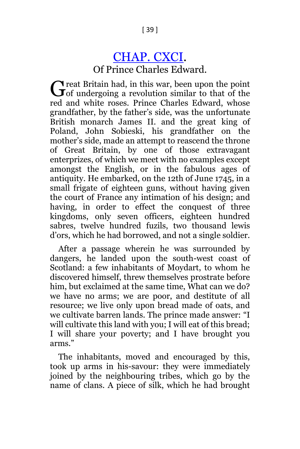### [CHAP. CXCI.](http://books.google.com/books?id=EjcLAAAAQAAJ&dq=Voltaire%20%20Culloden&pg=PA39#v=onepage&q&f=false)

Of Prince Charles Edward.

 $\gamma$  reat Britain had, in this war, been upon the point Great Britain had, in this war, been upon the point<br>Gof undergoing a revolution similar to that of the red and white roses. Prince Charles Edward, whose grandfather, by the father's side, was the unfortunate British monarch James II. and the great king of Poland, John Sobieski, his grandfather on the mother's side, made an attempt to reascend the throne of Great Britain, by one of those extravagant enterprizes, of which we meet with no examples except amongst the English, or in the fabulous ages of antiquity. He embarked, on the 12th of June 1745, in a small frigate of eighteen guns, without having given the court of France any intimation of his design; and having, in order to effect the conquest of three kingdoms, only seven officers, eighteen hundred sabres, twelve hundred fuzils, two thousand lewis d'ors, which he had borrowed, and not a single soldier.

After a passage wherein he was surrounded by dangers, he landed upon the south-west coast of Scotland: a few inhabitants of Moydart, to whom he discovered himself, threw themselves prostrate before him, but exclaimed at the same time, What can we do? we have no arms; we are poor, and destitute of all resource; we live only upon bread made of oats, and we cultivate barren lands. The prince made answer: "I will cultivate this land with you; I will eat of this bread; I will share your poverty; and I have brought you arms."

The inhabitants, moved and encouraged by this, took up arms in his-savour: they were immediately joined by the neighbouring tribes, which go by the name of clans. A piece of silk, which he had brought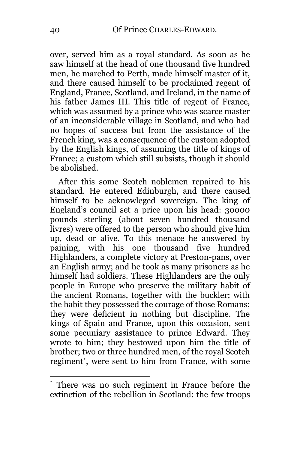over, served him as a royal standard. As soon as he saw himself at the head of one thousand five hundred men, he marched to Perth, made himself master of it, and there caused himself to be proclaimed regent of England, France, Scotland, and Ireland, in the name of his father James III. This title of regent of France, which was assumed by a prince who was scarce master of an inconsiderable village in Scotland, and who had no hopes of success but from the assistance of the French king, was a consequence of the custom adopted by the English kings, of assuming the title of kings of France; a custom which still subsists, though it should be abolished.

After this some Scotch noblemen repaired to his standard. He entered Edinburgh, and there caused himself to be acknowleged sovereign. The king of England's council set a price upon his head: 30000 pounds sterling (about seven hundred thousand livres) were offered to the person who should give him up, dead or alive. To this menace he answered by paining, with his one thousand five hundred Highlanders, a complete victory at Preston-pans, over an English army; and he took as many prisoners as he himself had soldiers. These Highlanders are the only people in Europe who preserve the military habit of the ancient Romans, together with the buckler; with the habit they possessed the courage of those Romans; they were deficient in nothing but discipline. The kings of Spain and France, upon this occasion, sent some pecuniary assistance to prince Edward. They wrote to him; they bestowed upon him the title of brother; two or three hundred men, of the royal Scotch regiment\* , were sent to him from France, with some

<sup>\*</sup> There was no such regiment in France before the extinction of the rebellion in Scotland: the few troops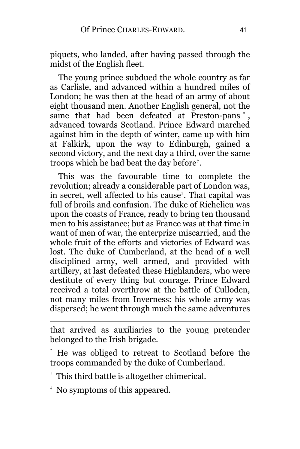piquets, who landed, after having passed through the midst of the English fleet.

The young prince subdued the whole country as far as Carlisle, and advanced within a hundred miles of London; he was then at the head of an army of about eight thousand men. Another English general, not the same that had been defeated at Preston-pans \* , advanced towards Scotland. Prince Edward marched against him in the depth of winter, came up with him at Falkirk, upon the way to Edinburgh, gained a second victory, and the next day a third, over the same troops which he had beat the day before† .

This was the favourable time to complete the revolution; already a considerable part of London was, in secret, well affected to his cause‡ . That capital was full of broils and confusion. The duke of Richelieu was upon the coasts of France, ready to bring ten thousand men to his assistance; but as France was at that time in want of men of war, the enterprize miscarried, and the whole fruit of the efforts and victories of Edward was lost. The duke of Cumberland, at the head of a well disciplined army, well armed, and provided with artillery, at last defeated these Highlanders, who were destitute of every thing but courage. Prince Edward received a total overthrow at the battle of Culloden, not many miles from Inverness: his whole army was dispersed; he went through much the same adventures

that arrived as auxiliaries to the young pretender belonged to the Irish brigade.

He was obliged to retreat to Scotland before the troops commanded by the duke of Cumberland.

† This third battle is altogether chimerical.

‡ No symptoms of this appeared.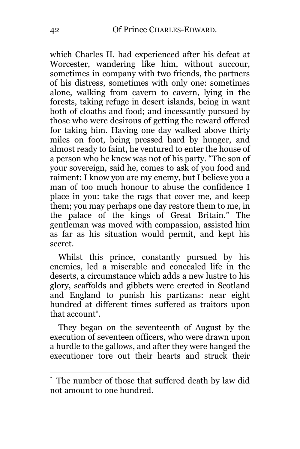which Charles II. had experienced after his defeat at Worcester, wandering like him, without succour, sometimes in company with two friends, the partners of his distress, sometimes with only one: sometimes alone, walking from cavern to cavern, lying in the forests, taking refuge in desert islands, being in want both of cloaths and food; and incessantly pursued by those who were desirous of getting the reward offered for taking him. Having one day walked above thirty miles on foot, being pressed hard by hunger, and almost ready to faint, he ventured to enter the house of a person who he knew was not of his party. "The son of your sovereign, said he, comes to ask of you food and raiment: I know you are my enemy, but I believe you a man of too much honour to abuse the confidence I place in you: take the rags that cover me, and keep them; you may perhaps one day restore them to me, in the palace of the kings of Great Britain." The gentleman was moved with compassion, assisted him as far as his situation would permit, and kept his secret.

Whilst this prince, constantly pursued by his enemies, led a miserable and concealed life in the deserts, a circumstance which adds a new lustre to his glory, scaffolds and gibbets were erected in Scotland and England to punish his partizans: near eight hundred at different times suffered as traitors upon that account\* .

They began on the seventeenth of August by the execution of seventeen officers, who were drawn upon a hurdle to the gallows, and after they were hanged the executioner tore out their hearts and struck their

The number of those that suffered death by law did not amount to one hundred.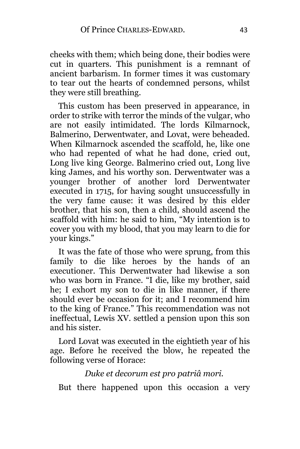cheeks with them; which being done, their bodies were cut in quarters. This punishment is a remnant of ancient barbarism. In former times it was customary to tear out the hearts of condemned persons, whilst they were still breathing.

This custom has been preserved in appearance, in order to strike with terror the minds of the vulgar, who are not easily intimidated. The lords Kilmarnock, Balmerino, Derwentwater, and Lovat, were beheaded. When Kilmarnock ascended the scaffold, he, like one who had repented of what he had done, cried out, Long live king George. Balmerino cried out, Long live king James, and his worthy son. Derwentwater was a younger brother of another lord Derwentwater executed in 1715, for having sought unsuccessfully in the very fame cause: it was desired by this elder brother, that his son, then a child, should ascend the scaffold with him: he said to him, "My intention is to cover you with my blood, that you may learn to die for your kings."

It was the fate of those who were sprung, from this family to die like heroes by the hands of an executioner. This Derwentwater had likewise a son who was born in France. "I die, like my brother, said he; I exhort my son to die in like manner, if there should ever be occasion for it; and I recommend him to the king of France." This recommendation was not ineffectual, Lewis XV. settled a pension upon this son and his sister.

Lord Lovat was executed in the eightieth year of his age. Before he received the blow, he repeated the following verse of Horace:

*Duke et decorum est pro patriâ mori.*

But there happened upon this occasion a very